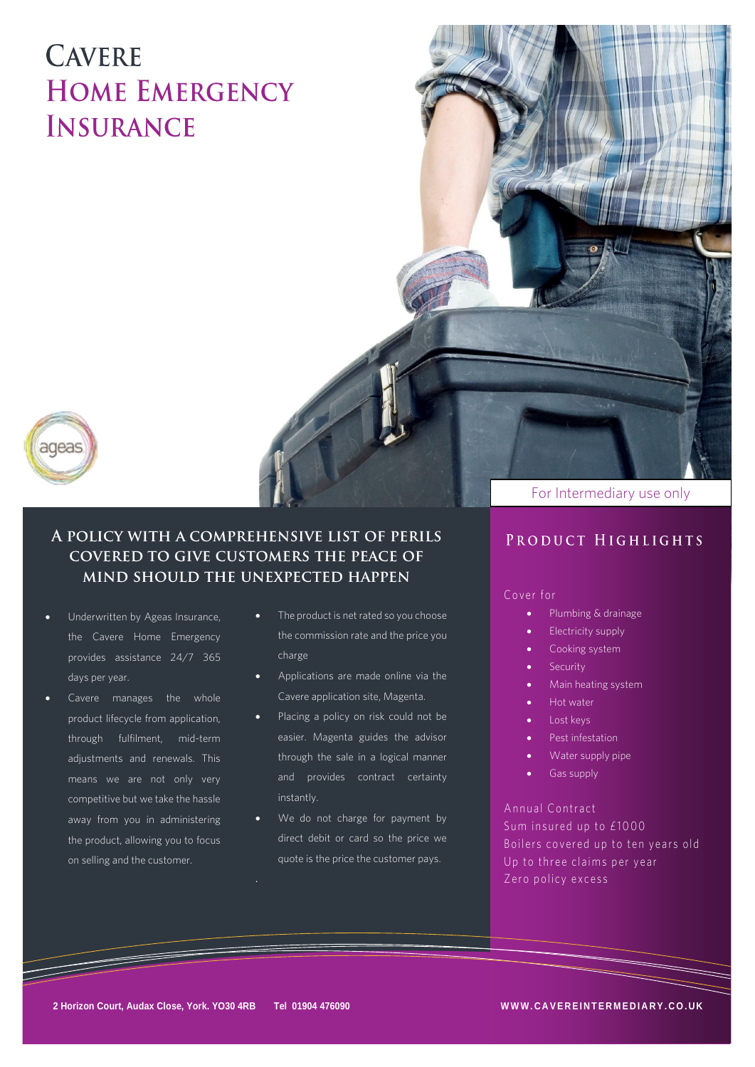## **CAVERE HOME EMERGENCY INSURANCE**



## A POLICY WITH A COMPREHENSIVE LIST OF PERILS **COVERED TO GIVE CUSTOMERS THE PEACE OF** MIND SHOULD THE UNEXPECTED HAPPEN

- Underwritten by Ageas Insurance,<br>the Cavere Home Emergency days per year.
- Cavere manages the whole<br>product lifecycle from application, means we are not only very<br>competitive but we take the hassle away from you in administering<br>the product, allowing you to focus  $\mathbf{r}$  the product  $\mathbf{r}$ on selling and the customer.
- The product is net rated so you choose the commission rate and the price you charge
- Applications are made online via the Cavere application site, Magenta.
- Placing a policy on risk could not be easier. Magenta guides the advisor through the sale in a logical manner and provides contract certainty<br>instantly.
- We do not charge for payment by direct debit or card so the price we quote is the price the customer pays.

### For Intermediary use only

## PRODUCT HIGHLIGHTS

### Cover for

- C o v er f or • Plumbing & drainage
	- Electricity supply
	- Cooking system
	- **Security**
	- Main heating system
	- Hot water
	- Lost keys
	- Pest infestation
	- Water supply pipe
	- Gas supply

Annual Contract Sum insured up to £1000 Boilers covered up to ten years old Up to three claims per year  $U_{\rm max} = 1.1$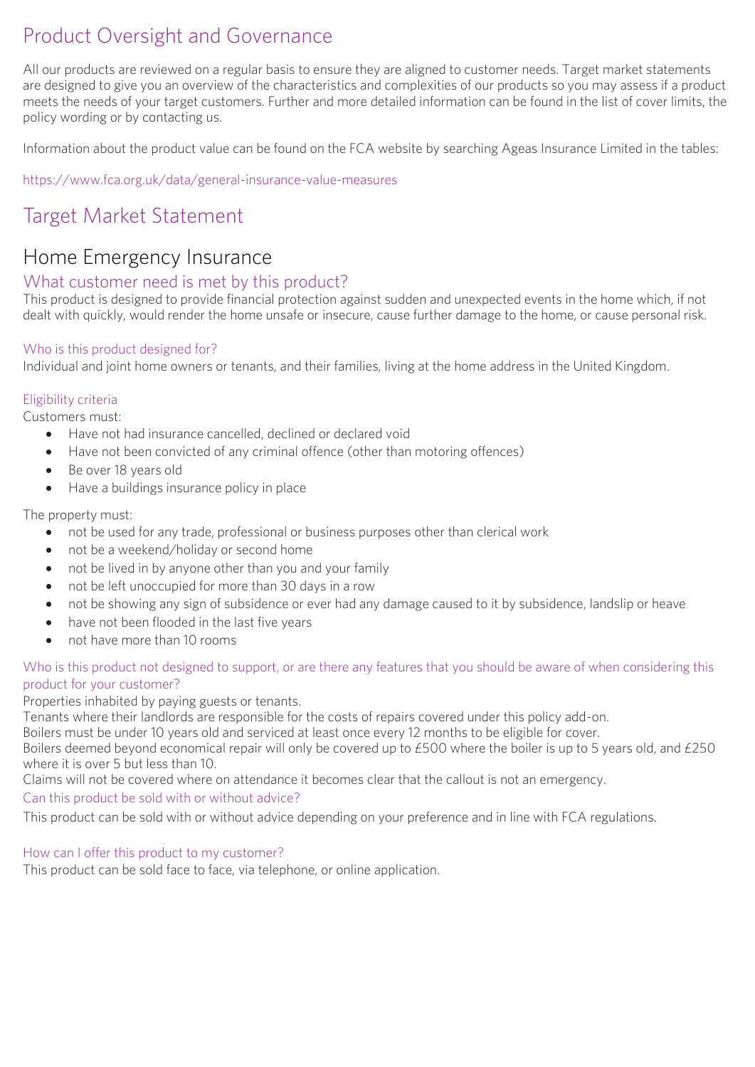# Product Oversight and Governance

All our products are reviewed on a regular basis to ensure they are aligned to customer needs. Target market statements<br>are designed to give you an overview of the characteristics and complexities of our products so you ma meets the needs of your target customers. Further and more detailed information can be found in the list of cover limits, the meters the needs of your target customers. Further and more detailed in the list of cover list of cover limits, the list of cover limits, the list of cover limits, the list of cover limits, the list of cover limits, the li policy wording or by contacting us.

Information about the product value can be found on the FCA website by searching Ageas Insurance Limited in the tables:

<https://www.fca.org.uk/data/general-insurance-value-measures>

## Target Market Statement

# Home Emergency Insurance<br>What customer need is met by this product?

This product is designed to provide financial protection against sudden and unexpected events in the home which, if not dealt with quickly, would render the home unsafe or insecure, cause further damage to the home, or cause personal risk. dealt with quickly, would render the home unsafe or insecure, cause further damage to the home, or cause personal risk.

 $Individual and joint home curves$ Individual and joint home owners or tenants, and their families, living at the home address in the United Kingdom.

Eligibility criteria

- Have not had insurance cancelled, declined or declared void
	- Have not been convicted of any criminal offence (other than motoring offences)
	- Be over 18 years old<br>• Have a buildings insu
	- Have a buildings insurance policy in place

- not be used for any trade, professional or business purposes other than clerical work
	- not be a weekend/holiday or second home
	- not be lived in by anyone other than you and your family
	- not be left unoccupied for more than 30 days in a row
	- not be showing any sign of subsidence or ever had any damage caused to it by subsidence, landslip or heave
	- have not been flooded in the last five years
	- not have more than 10 rooms

# Who is this product not designed to support, or are there any features that you should be aware of when considering this product for your customer?

Properties inhabited by paying guests or tenants.

Tenants where their landlords are responsible for the costs of repairs covered under this policy add-on.

Boilers must be under 10 years old and serviced at least once every 12 months to be eligible for cover.

Boilers deemed beyond economical repair will only be covered up to £500 where the boiler is up to 5 years old, and £250 where it is over 5 but less than 10.

Claims will not be covered where on attendance it becomes clear that the callout is not an emergency.

## Can this product be sold with or without advice?

This product can be sold with or without advice depending on your preference and in line with FCA regulations. This product can be sold with or without advice depending on your preference and in line with FCA regulations.

How can I offer this product to my customer?<br>This product can be sold face to face, via telephone, or online application. This product can be sold face to face, via telephone, or online application.